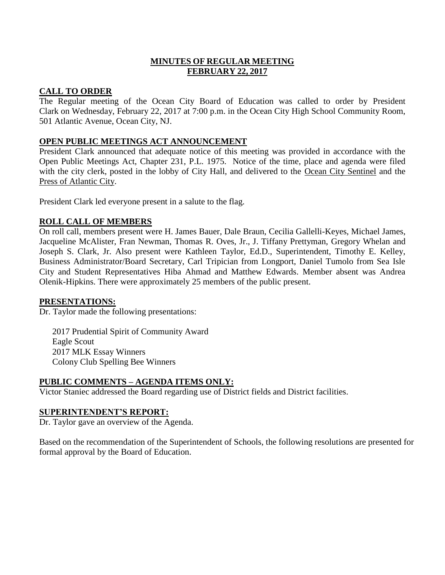# **MINUTES OF REGULAR MEETING FEBRUARY 22, 2017**

## **CALL TO ORDER**

The Regular meeting of the Ocean City Board of Education was called to order by President Clark on Wednesday, February 22, 2017 at 7:00 p.m. in the Ocean City High School Community Room, 501 Atlantic Avenue, Ocean City, NJ.

## **OPEN PUBLIC MEETINGS ACT ANNOUNCEMENT**

President Clark announced that adequate notice of this meeting was provided in accordance with the Open Public Meetings Act, Chapter 231, P.L. 1975. Notice of the time, place and agenda were filed with the city clerk, posted in the lobby of City Hall, and delivered to the Ocean City Sentinel and the Press of Atlantic City.

President Clark led everyone present in a salute to the flag.

# **ROLL CALL OF MEMBERS**

On roll call, members present were H. James Bauer, Dale Braun, Cecilia Gallelli-Keyes, Michael James, Jacqueline McAlister, Fran Newman, Thomas R. Oves, Jr., J. Tiffany Prettyman, Gregory Whelan and Joseph S. Clark, Jr. Also present were Kathleen Taylor, Ed.D., Superintendent, Timothy E. Kelley, Business Administrator/Board Secretary, Carl Tripician from Longport, Daniel Tumolo from Sea Isle City and Student Representatives Hiba Ahmad and Matthew Edwards. Member absent was Andrea Olenik-Hipkins. There were approximately 25 members of the public present.

## **PRESENTATIONS:**

Dr. Taylor made the following presentations:

2017 Prudential Spirit of Community Award Eagle Scout 2017 MLK Essay Winners Colony Club Spelling Bee Winners

## **PUBLIC COMMENTS – AGENDA ITEMS ONLY:**

Victor Staniec addressed the Board regarding use of District fields and District facilities.

## **SUPERINTENDENT'S REPORT:**

Dr. Taylor gave an overview of the Agenda.

Based on the recommendation of the Superintendent of Schools, the following resolutions are presented for formal approval by the Board of Education.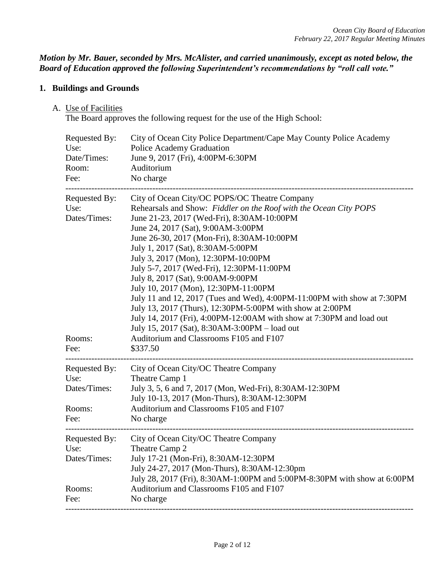*Motion by Mr. Bauer, seconded by Mrs. McAlister, and carried unanimously, except as noted below, the Board of Education approved the following Superintendent's recommendations by "roll call vote."* 

# **1. Buildings and Grounds**

### A. Use of Facilities

The Board approves the following request for the use of the High School:

| Requested By:<br>Use:<br>Date/Times:<br>Room:<br>Fee:   | City of Ocean City Police Department/Cape May County Police Academy<br>Police Academy Graduation<br>June 9, 2017 (Fri), 4:00PM-6:30PM<br>Auditorium<br>No charge                                                                                                                                                                                                                                                                                                                                                                                                                                                                                                                                                                                                                   |
|---------------------------------------------------------|------------------------------------------------------------------------------------------------------------------------------------------------------------------------------------------------------------------------------------------------------------------------------------------------------------------------------------------------------------------------------------------------------------------------------------------------------------------------------------------------------------------------------------------------------------------------------------------------------------------------------------------------------------------------------------------------------------------------------------------------------------------------------------|
| Requested By:<br>Use:<br>Dates/Times:<br>Rooms:<br>Fee: | City of Ocean City/OC POPS/OC Theatre Company<br>Rehearsals and Show: Fiddler on the Roof with the Ocean City POPS<br>June 21-23, 2017 (Wed-Fri), 8:30AM-10:00PM<br>June 24, 2017 (Sat), 9:00AM-3:00PM<br>June 26-30, 2017 (Mon-Fri), 8:30AM-10:00PM<br>July 1, 2017 (Sat), 8:30AM-5:00PM<br>July 3, 2017 (Mon), 12:30PM-10:00PM<br>July 5-7, 2017 (Wed-Fri), 12:30PM-11:00PM<br>July 8, 2017 (Sat), 9:00AM-9:00PM<br>July 10, 2017 (Mon), 12:30PM-11:00PM<br>July 11 and 12, 2017 (Tues and Wed), 4:00PM-11:00PM with show at 7:30PM<br>July 13, 2017 (Thurs), 12:30PM-5:00PM with show at 2:00PM<br>July 14, 2017 (Fri), 4:00PM-12:00AM with show at 7:30PM and load out<br>July 15, 2017 (Sat), 8:30AM-3:00PM - load out<br>Auditorium and Classrooms F105 and F107<br>\$337.50 |
| Requested By:<br>Use:<br>Dates/Times:<br>Rooms:<br>Fee: | City of Ocean City/OC Theatre Company<br>Theatre Camp 1<br>July 3, 5, 6 and 7, 2017 (Mon, Wed-Fri), 8:30AM-12:30PM<br>July 10-13, 2017 (Mon-Thurs), 8:30AM-12:30PM<br>Auditorium and Classrooms F105 and F107<br>No charge                                                                                                                                                                                                                                                                                                                                                                                                                                                                                                                                                         |
| Requested By:<br>Use:<br>Dates/Times:<br>Rooms:<br>Fee: | City of Ocean City/OC Theatre Company<br>Theatre Camp 2<br>July 17-21 (Mon-Fri), 8:30AM-12:30PM<br>July 24-27, 2017 (Mon-Thurs), 8:30AM-12:30pm<br>July 28, 2017 (Fri), 8:30AM-1:00PM and 5:00PM-8:30PM with show at 6:00PM<br>Auditorium and Classrooms F105 and F107<br>No charge                                                                                                                                                                                                                                                                                                                                                                                                                                                                                                |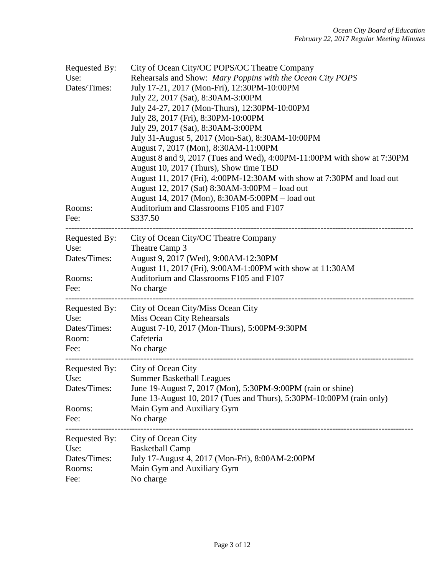| Requested By:<br>Use:<br>Dates/Times:<br>Rooms:<br>Fee:        | City of Ocean City/OC POPS/OC Theatre Company<br>Rehearsals and Show: Mary Poppins with the Ocean City POPS<br>July 17-21, 2017 (Mon-Fri), 12:30PM-10:00PM<br>July 22, 2017 (Sat), 8:30AM-3:00PM<br>July 24-27, 2017 (Mon-Thurs), 12:30PM-10:00PM<br>July 28, 2017 (Fri), 8:30PM-10:00PM<br>July 29, 2017 (Sat), 8:30AM-3:00PM<br>July 31-August 5, 2017 (Mon-Sat), 8:30AM-10:00PM<br>August 7, 2017 (Mon), 8:30AM-11:00PM<br>August 8 and 9, 2017 (Tues and Wed), 4:00PM-11:00PM with show at 7:30PM<br>August 10, 2017 (Thurs), Show time TBD<br>August 11, 2017 (Fri), 4:00PM-12:30AM with show at 7:30PM and load out<br>August 12, 2017 (Sat) 8:30AM-3:00PM - load out<br>August 14, 2017 (Mon), 8:30AM-5:00PM - load out<br>Auditorium and Classrooms F105 and F107<br>\$337.50 |
|----------------------------------------------------------------|---------------------------------------------------------------------------------------------------------------------------------------------------------------------------------------------------------------------------------------------------------------------------------------------------------------------------------------------------------------------------------------------------------------------------------------------------------------------------------------------------------------------------------------------------------------------------------------------------------------------------------------------------------------------------------------------------------------------------------------------------------------------------------------|
| <b>Requested By:</b><br>Use:<br>Dates/Times:<br>Rooms:<br>Fee: | City of Ocean City/OC Theatre Company<br>Theatre Camp 3<br>August 9, 2017 (Wed), 9:00AM-12:30PM<br>August 11, 2017 (Fri), 9:00AM-1:00PM with show at 11:30AM<br>Auditorium and Classrooms F105 and F107<br>No charge                                                                                                                                                                                                                                                                                                                                                                                                                                                                                                                                                                  |
| Requested By:<br>Use:<br>Dates/Times:<br>Room:<br>Fee:         | City of Ocean City/Miss Ocean City<br>Miss Ocean City Rehearsals<br>August 7-10, 2017 (Mon-Thurs), 5:00PM-9:30PM<br>Cafeteria<br>No charge                                                                                                                                                                                                                                                                                                                                                                                                                                                                                                                                                                                                                                            |
| Requested By:<br>Use:<br>Dates/Times:<br>Rooms:<br>Fee:        | City of Ocean City<br><b>Summer Basketball Leagues</b><br>June 19-August 7, 2017 (Mon), 5:30PM-9:00PM (rain or shine)<br>June 13-August 10, 2017 (Tues and Thurs), 5:30PM-10:00PM (rain only)<br>Main Gym and Auxiliary Gym<br>No charge                                                                                                                                                                                                                                                                                                                                                                                                                                                                                                                                              |
| Requested By:<br>Use:<br>Dates/Times:<br>Rooms:<br>Fee:        | City of Ocean City<br><b>Basketball Camp</b><br>July 17-August 4, 2017 (Mon-Fri), 8:00AM-2:00PM<br>Main Gym and Auxiliary Gym<br>No charge                                                                                                                                                                                                                                                                                                                                                                                                                                                                                                                                                                                                                                            |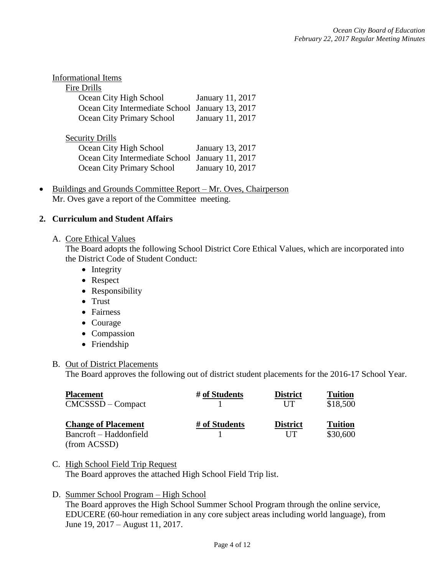| <b>Informational Items</b>       |                         |
|----------------------------------|-------------------------|
| Fire Drills                      |                         |
| Ocean City High School           | <b>January 11, 2017</b> |
| Ocean City Intermediate School   | January 13, 2017        |
| <b>Ocean City Primary School</b> | January 11, 2017        |
|                                  |                         |
| <b>Security Drills</b>           |                         |
| Ocean City High School           | January 13, 2017        |
| Ocean City Intermediate School   | January 11, 2017        |
| Ocean City Primary School        | January 10, 2017        |
|                                  |                         |

• Buildings and Grounds Committee Report – Mr. Oves, Chairperson Mr. Oves gave a report of the Committee meeting.

## **2. Curriculum and Student Affairs**

#### A. Core Ethical Values

The Board adopts the following School District Core Ethical Values, which are incorporated into the District Code of Student Conduct:

- Integrity
- Respect
- Responsibility
- Trust
- Fairness
- Courage
- Compassion
- Friendship

## B. Out of District Placements

The Board approves the following out of district student placements for the 2016-17 School Year.

| <b>Placement</b>           | # of Students | <b>District</b> | <b>Tuition</b> |
|----------------------------|---------------|-----------------|----------------|
| $CMCSSSD - Compact$        |               | <b>IIT</b>      | \$18,500       |
| <b>Change of Placement</b> | # of Students | <b>District</b> | <b>Tuition</b> |
| Bancroft – Haddonfield     |               | UT              | \$30,600       |
| (from ACSSD)               |               |                 |                |

C. High School Field Trip Request The Board approves the attached High School Field Trip list.

## D. Summer School Program – High School

The Board approves the High School Summer School Program through the online service, EDUCERE (60-hour remediation in any core subject areas including world language), from June 19, 2017 – August 11, 2017.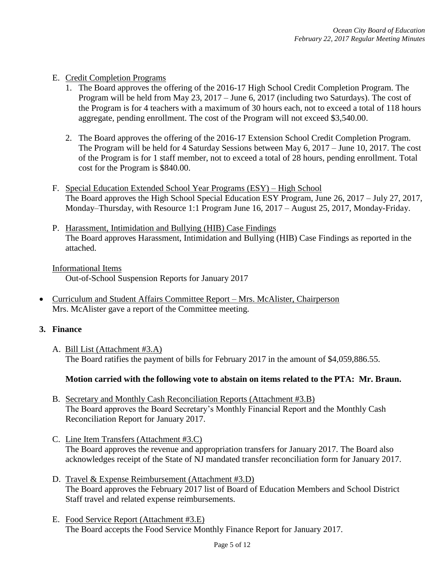## E. Credit Completion Programs

- 1. The Board approves the offering of the 2016-17 High School Credit Completion Program. The Program will be held from May 23, 2017 – June 6, 2017 (including two Saturdays). The cost of the Program is for 4 teachers with a maximum of 30 hours each, not to exceed a total of 118 hours aggregate, pending enrollment. The cost of the Program will not exceed \$3,540.00.
- 2. The Board approves the offering of the 2016-17 Extension School Credit Completion Program. The Program will be held for 4 Saturday Sessions between May 6, 2017 – June 10, 2017. The cost of the Program is for 1 staff member, not to exceed a total of 28 hours, pending enrollment. Total cost for the Program is \$840.00.
- F. Special Education Extended School Year Programs (ESY) High School The Board approves the High School Special Education ESY Program, June 26, 2017 – July 27, 2017, Monday–Thursday, with Resource 1:1 Program June 16, 2017 – August 25, 2017, Monday-Friday.
- P. Harassment, Intimidation and Bullying (HIB) Case Findings The Board approves Harassment, Intimidation and Bullying (HIB) Case Findings as reported in the attached.

Informational Items Out-of-School Suspension Reports for January 2017

 Curriculum and Student Affairs Committee Report – Mrs. McAlister, Chairperson Mrs. McAlister gave a report of the Committee meeting.

## **3. Finance**

A. Bill List (Attachment #3.A) The Board ratifies the payment of bills for February 2017 in the amount of \$4,059,886.55.

## **Motion carried with the following vote to abstain on items related to the PTA: Mr. Braun.**

- B. Secretary and Monthly Cash Reconciliation Reports (Attachment #3.B) The Board approves the Board Secretary's Monthly Financial Report and the Monthly Cash Reconciliation Report for January 2017.
- C. Line Item Transfers (Attachment #3.C) The Board approves the revenue and appropriation transfers for January 2017. The Board also acknowledges receipt of the State of NJ mandated transfer reconciliation form for January 2017.
- D. Travel & Expense Reimbursement (Attachment #3.D) The Board approves the February 2017 list of Board of Education Members and School District Staff travel and related expense reimbursements.
- E. Food Service Report (Attachment #3.E) The Board accepts the Food Service Monthly Finance Report for January 2017.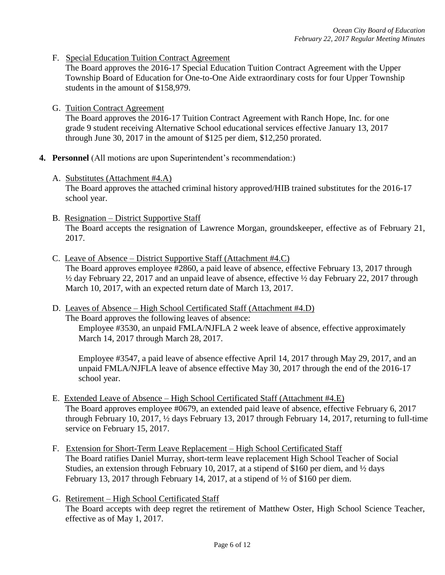F. Special Education Tuition Contract Agreement

The Board approves the 2016-17 Special Education Tuition Contract Agreement with the Upper Township Board of Education for One-to-One Aide extraordinary costs for four Upper Township students in the amount of \$158,979.

G. Tuition Contract Agreement

The Board approves the 2016-17 Tuition Contract Agreement with Ranch Hope, Inc. for one grade 9 student receiving Alternative School educational services effective January 13, 2017 through June 30, 2017 in the amount of \$125 per diem, \$12,250 prorated.

- **4. Personnel** (All motions are upon Superintendent's recommendation:)
	- A. Substitutes (Attachment #4.A)

 The Board approves the attached criminal history approved/HIB trained substitutes for the 2016-17 school year.

- B. Resignation District Supportive Staff The Board accepts the resignation of Lawrence Morgan, groundskeeper, effective as of February 21, 2017.
- C. Leave of Absence District Supportive Staff (Attachment #4.C) The Board approves employee #2860, a paid leave of absence, effective February 13, 2017 through ½ day February 22, 2017 and an unpaid leave of absence, effective ½ day February 22, 2017 through March 10, 2017, with an expected return date of March 13, 2017.
- D. Leaves of Absence High School Certificated Staff (Attachment #4.D) The Board approves the following leaves of absence: Employee #3530, an unpaid FMLA/NJFLA 2 week leave of absence, effective approximately March 14, 2017 through March 28, 2017.

Employee #3547, a paid leave of absence effective April 14, 2017 through May 29, 2017, and an unpaid FMLA/NJFLA leave of absence effective May 30, 2017 through the end of the 2016-17 school year.

- E. Extended Leave of Absence High School Certificated Staff (Attachment #4.E) The Board approves employee #0679, an extended paid leave of absence, effective February 6, 2017 through February 10, 2017, ½ days February 13, 2017 through February 14, 2017, returning to full-time service on February 15, 2017.
- F. Extension for Short-Term Leave Replacement High School Certificated Staff The Board ratifies Daniel Murray, short-term leave replacement High School Teacher of Social Studies, an extension through February 10, 2017, at a stipend of \$160 per diem, and ½ days February 13, 2017 through February 14, 2017, at a stipend of  $\frac{1}{2}$  of \$160 per diem.
- G. Retirement High School Certificated Staff The Board accepts with deep regret the retirement of Matthew Oster, High School Science Teacher, effective as of May 1, 2017.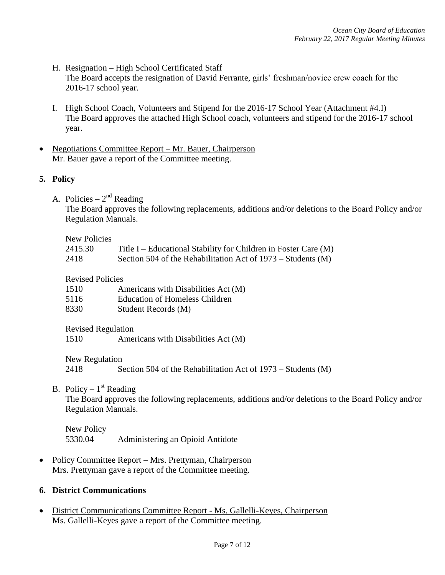- H. Resignation High School Certificated Staff The Board accepts the resignation of David Ferrante, girls' freshman/novice crew coach for the 2016-17 school year.
- I. High School Coach, Volunteers and Stipend for the 2016-17 School Year (Attachment #4.I) The Board approves the attached High School coach, volunteers and stipend for the 2016-17 school year.
- Negotiations Committee Report Mr. Bauer, Chairperson Mr. Bauer gave a report of the Committee meeting.

# **5. Policy**

A. Policies –  $2^{nd}$  Reading

The Board approves the following replacements, additions and/or deletions to the Board Policy and/or Regulation Manuals.

#### New Policies

| 2415.30 | Title I – Educational Stability for Children in Foster Care (M) |
|---------|-----------------------------------------------------------------|
| 2418    | Section 504 of the Rehabilitation Act of $1973 -$ Students (M)  |

#### Revised Policies

| 1510 | Americans with Disabilities Act (M)   |
|------|---------------------------------------|
| 5116 | <b>Education of Homeless Children</b> |
| 8330 | Student Records (M)                   |

Revised Regulation

1510 Americans with Disabilities Act (M)

New Regulation

2418 Section 504 of the Rehabilitation Act of 1973 – Students (M)

B. Policy –  $1<sup>st</sup>$  Reading

The Board approves the following replacements, additions and/or deletions to the Board Policy and/or Regulation Manuals.

New Policy 5330.04 Administering an Opioid Antidote

• Policy Committee Report – Mrs. Prettyman, Chairperson Mrs. Prettyman gave a report of the Committee meeting.

## **6. District Communications**

 District Communications Committee Report - Ms. Gallelli-Keyes, Chairperson Ms. Gallelli-Keyes gave a report of the Committee meeting.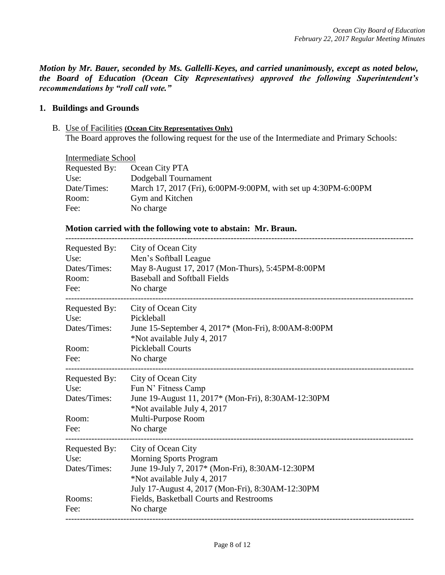*Motion by Mr. Bauer, seconded by Ms. Gallelli-Keyes, and carried unanimously, except as noted below, the Board of Education (Ocean City Representatives) approved the following Superintendent's recommendations by "roll call vote."* 

### **1. Buildings and Grounds**

B. Use of Facilities **(Ocean City Representatives Only)** The Board approves the following request for the use of the Intermediate and Primary Schools:

| Intermediate School |                                                                |
|---------------------|----------------------------------------------------------------|
| Requested By:       | Ocean City PTA                                                 |
| Use:                | Dodgeball Tournament                                           |
| Date/Times:         | March 17, 2017 (Fri), 6:00PM-9:00PM, with set up 4:30PM-6:00PM |
| Room:               | Gym and Kitchen                                                |
| Fee:                | No charge                                                      |

------------------------------------------------------------------------------------------------------------------------

#### **Motion carried with the following vote to abstain: Mr. Braun.**

| Requested By:<br>Use:<br>Dates/Times:<br>Room:<br>Fee:  | City of Ocean City<br>Men's Softball League<br>May 8-August 17, 2017 (Mon-Thurs), 5:45PM-8:00PM<br><b>Baseball and Softball Fields</b><br>No charge                                                                                               |
|---------------------------------------------------------|---------------------------------------------------------------------------------------------------------------------------------------------------------------------------------------------------------------------------------------------------|
| Requested By:<br>Use:<br>Dates/Times:<br>Room:<br>Fee:  | City of Ocean City<br>Pickleball<br>June 15-September 4, 2017* (Mon-Fri), 8:00AM-8:00PM<br>*Not available July 4, 2017<br><b>Pickleball Courts</b><br>No charge                                                                                   |
| Requested By:<br>Use:<br>Dates/Times:<br>Room:<br>Fee:  | City of Ocean City<br>Fun N' Fitness Camp<br>June 19-August 11, 2017* (Mon-Fri), 8:30AM-12:30PM<br>*Not available July 4, 2017<br>Multi-Purpose Room<br>No charge                                                                                 |
| Requested By:<br>Use:<br>Dates/Times:<br>Rooms:<br>Fee: | City of Ocean City<br><b>Morning Sports Program</b><br>June 19-July 7, 2017* (Mon-Fri), 8:30AM-12:30PM<br>*Not available July 4, 2017<br>July 17-August 4, 2017 (Mon-Fri), 8:30AM-12:30PM<br>Fields, Basketball Courts and Restrooms<br>No charge |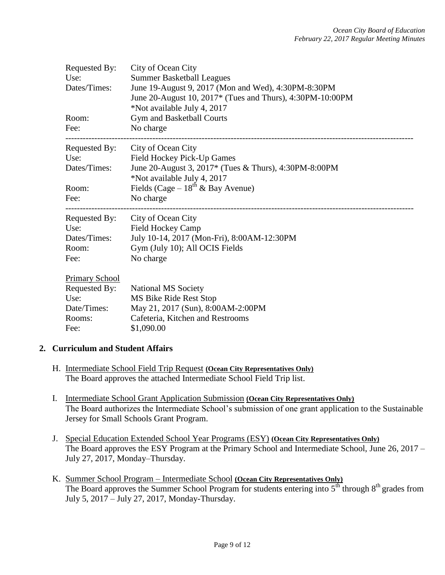| Requested By:<br>Use:<br>Dates/Times:<br>Room:<br>Fee: | City of Ocean City<br><b>Summer Basketball Leagues</b><br>June 19-August 9, 2017 (Mon and Wed), 4:30PM-8:30PM<br>June 20-August 10, 2017* (Tues and Thurs), 4:30PM-10:00PM<br>*Not available July 4, 2017<br>Gym and Basketball Courts<br>No charge |
|--------------------------------------------------------|-----------------------------------------------------------------------------------------------------------------------------------------------------------------------------------------------------------------------------------------------------|
| Requested By:                                          | City of Ocean City                                                                                                                                                                                                                                  |
| Use:                                                   | Field Hockey Pick-Up Games                                                                                                                                                                                                                          |
| Dates/Times:                                           | June 20-August 3, 2017* (Tues & Thurs), 4:30PM-8:00PM<br>*Not available July 4, 2017                                                                                                                                                                |
| Room:                                                  | Fields (Cage – $18^{th}$ & Bay Avenue)                                                                                                                                                                                                              |
| Fee:                                                   | No charge                                                                                                                                                                                                                                           |
| Requested By:                                          | City of Ocean City                                                                                                                                                                                                                                  |
| Use:                                                   | <b>Field Hockey Camp</b>                                                                                                                                                                                                                            |
| Dates/Times:                                           | July 10-14, 2017 (Mon-Fri), 8:00AM-12:30PM                                                                                                                                                                                                          |
| Room:                                                  | Gym (July 10); All OCIS Fields                                                                                                                                                                                                                      |
| Fee:                                                   | No charge                                                                                                                                                                                                                                           |
| <b>Primary School</b>                                  |                                                                                                                                                                                                                                                     |
| Requested By:                                          | <b>National MS Society</b>                                                                                                                                                                                                                          |
| Use:                                                   | MS Bike Ride Rest Stop                                                                                                                                                                                                                              |
| Date/Times:                                            | May 21, 2017 (Sun), 8:00AM-2:00PM                                                                                                                                                                                                                   |
| Rooms:                                                 | Cafeteria, Kitchen and Restrooms                                                                                                                                                                                                                    |
| Fee:                                                   | \$1,090.00                                                                                                                                                                                                                                          |

## **2. Curriculum and Student Affairs**

- H. Intermediate School Field Trip Request **(Ocean City Representatives Only)** The Board approves the attached Intermediate School Field Trip list.
- I. Intermediate School Grant Application Submission **(Ocean City Representatives Only)** The Board authorizes the Intermediate School's submission of one grant application to the Sustainable Jersey for Small Schools Grant Program.
- J. Special Education Extended School Year Programs (ESY) **(Ocean City Representatives Only)**  The Board approves the ESY Program at the Primary School and Intermediate School, June 26, 2017 – July 27, 2017, Monday–Thursday.
- K. Summer School Program Intermediate School **(Ocean City Representatives Only)** The Board approves the Summer School Program for students entering into  $5<sup>th</sup>$  through  $8<sup>th</sup>$  grades from July 5, 2017 – July 27, 2017, Monday-Thursday.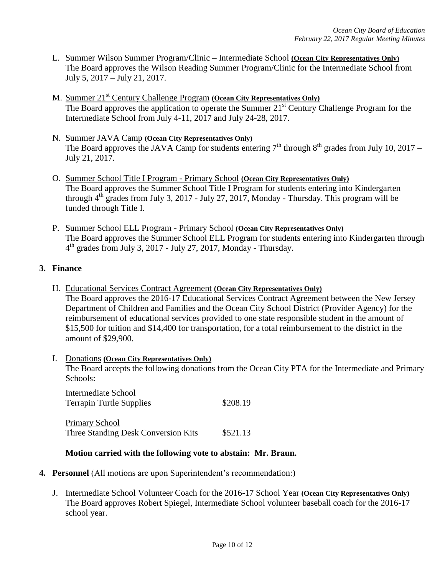- L. Summer Wilson Summer Program/Clinic Intermediate School **(Ocean City Representatives Only)** The Board approves the Wilson Reading Summer Program/Clinic for the Intermediate School from July 5, 2017 – July 21, 2017.
- M. Summer 21<sup>st</sup> Century Challenge Program **(Ocean City Representatives Only)** The Board approves the application to operate the Summer 21<sup>st</sup> Century Challenge Program for the Intermediate School from July 4-11, 2017 and July 24-28, 2017.
- N. Summer JAVA Camp **(Ocean City Representatives Only)** The Board approves the JAVA Camp for students entering  $7<sup>th</sup>$  through  $8<sup>th</sup>$  grades from July 10, 2017 – July 21, 2017.
- O. Summer School Title I Program Primary School **(Ocean City Representatives Only)** The Board approves the Summer School Title I Program for students entering into Kindergarten through  $4<sup>th</sup>$  grades from July 3, 2017 - July 27, 2017, Monday - Thursday. This program will be funded through Title I.
- P. Summer School ELL Program Primary School **(Ocean City Representatives Only)** The Board approves the Summer School ELL Program for students entering into Kindergarten through 4 th grades from July 3, 2017 - July 27, 2017, Monday - Thursday.

# **3. Finance**

- H. Educational Services Contract Agreement **(Ocean City Representatives Only)** The Board approves the 2016-17 Educational Services Contract Agreement between the New Jersey Department of Children and Families and the Ocean City School District (Provider Agency) for the reimbursement of educational services provided to one state responsible student in the amount of \$15,500 for tuition and \$14,400 for transportation, for a total reimbursement to the district in the amount of \$29,900.
- I. Donations **(Ocean City Representatives Only)** The Board accepts the following donations from the Ocean City PTA for the Intermediate and Primary Schools:

Intermediate School Terrapin Turtle Supplies \$208.19

Primary School Three Standing Desk Conversion Kits \$521.13

# **Motion carried with the following vote to abstain: Mr. Braun.**

- **4. Personnel** (All motions are upon Superintendent's recommendation:)
	- J. Intermediate School Volunteer Coach for the 2016-17 School Year **(Ocean City Representatives Only)** The Board approves Robert Spiegel, Intermediate School volunteer baseball coach for the 2016-17 school year.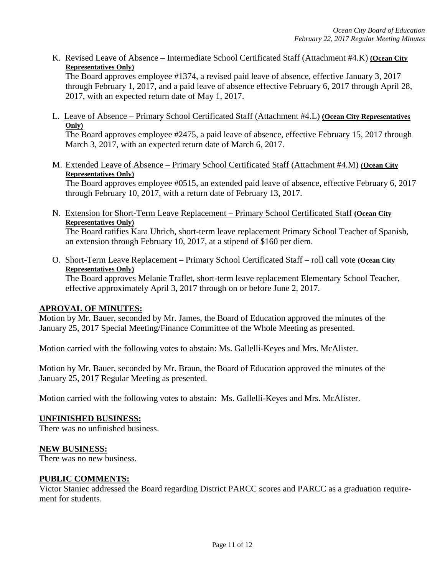K. Revised Leave of Absence – Intermediate School Certificated Staff (Attachment #4.K) **(Ocean City Representatives Only)** 

The Board approves employee #1374, a revised paid leave of absence, effective January 3, 2017 through February 1, 2017, and a paid leave of absence effective February 6, 2017 through April 28, 2017, with an expected return date of May 1, 2017.

L. Leave of Absence – Primary School Certificated Staff (Attachment #4.L) **(Ocean City Representatives Only)**

The Board approves employee #2475, a paid leave of absence, effective February 15, 2017 through March 3, 2017, with an expected return date of March 6, 2017.

M. Extended Leave of Absence – Primary School Certificated Staff (Attachment #4.M) **(Ocean City Representatives Only)**

The Board approves employee #0515, an extended paid leave of absence, effective February 6, 2017 through February 10, 2017, with a return date of February 13, 2017.

N. Extension for Short-Term Leave Replacement – Primary School Certificated Staff **(Ocean City Representatives Only)**

The Board ratifies Kara Uhrich, short-term leave replacement Primary School Teacher of Spanish, an extension through February 10, 2017, at a stipend of \$160 per diem.

O. Short-Term Leave Replacement – Primary School Certificated Staff – roll call vote **(Ocean City Representatives Only)**

The Board approves Melanie Traflet, short-term leave replacement Elementary School Teacher, effective approximately April 3, 2017 through on or before June 2, 2017.

# **APROVAL OF MINUTES:**

Motion by Mr. Bauer, seconded by Mr. James, the Board of Education approved the minutes of the January 25, 2017 Special Meeting/Finance Committee of the Whole Meeting as presented.

Motion carried with the following votes to abstain: Ms. Gallelli-Keyes and Mrs. McAlister.

Motion by Mr. Bauer, seconded by Mr. Braun, the Board of Education approved the minutes of the January 25, 2017 Regular Meeting as presented.

Motion carried with the following votes to abstain: Ms. Gallelli-Keyes and Mrs. McAlister.

## **UNFINISHED BUSINESS:**

There was no unfinished business.

## **NEW BUSINESS:**

There was no new business.

## **PUBLIC COMMENTS:**

Victor Staniec addressed the Board regarding District PARCC scores and PARCC as a graduation requirement for students.